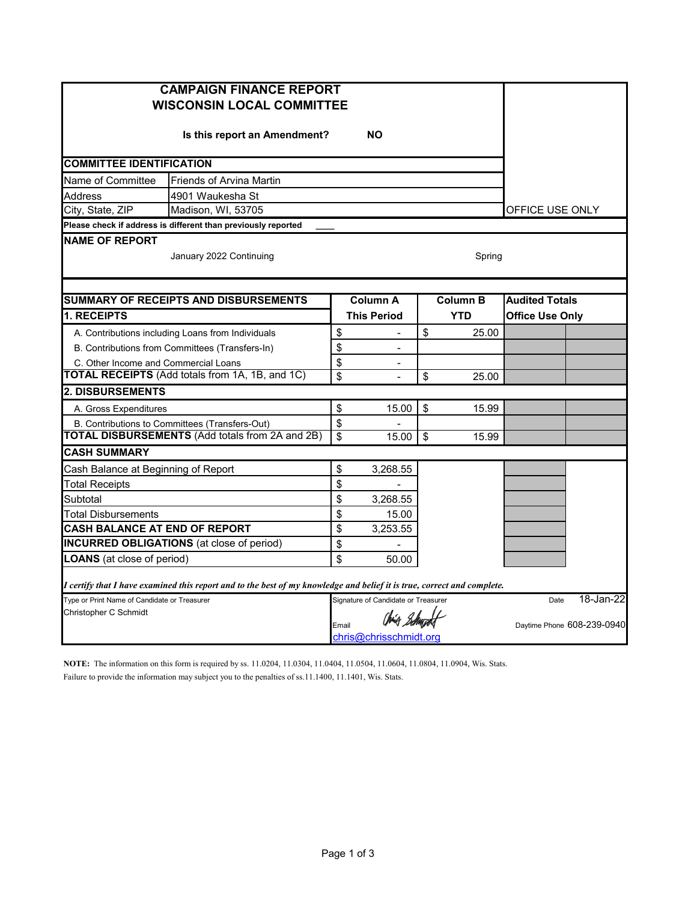| <b>CAMPAIGN FINANCE REPORT</b><br><b>WISCONSIN LOCAL COMMITTEE</b>                                                      |                                 |                                     |    |                            |                        |  |  |
|-------------------------------------------------------------------------------------------------------------------------|---------------------------------|-------------------------------------|----|----------------------------|------------------------|--|--|
| Is this report an Amendment?                                                                                            |                                 |                                     |    |                            |                        |  |  |
| <b>COMMITTEE IDENTIFICATION</b>                                                                                         |                                 |                                     |    |                            |                        |  |  |
| Name of Committee                                                                                                       | <b>Friends of Arvina Martin</b> |                                     |    |                            |                        |  |  |
| Address<br>4901 Waukesha St                                                                                             |                                 |                                     |    |                            |                        |  |  |
| City, State, ZIP<br>Madison, WI, 53705                                                                                  | OFFICE USE ONLY                 |                                     |    |                            |                        |  |  |
| Please check if address is different than previously reported                                                           |                                 |                                     |    |                            |                        |  |  |
| <b>NAME OF REPORT</b><br>January 2022 Continuing<br>Spring                                                              |                                 |                                     |    |                            |                        |  |  |
|                                                                                                                         |                                 |                                     |    |                            |                        |  |  |
| <b>SUMMARY OF RECEIPTS AND DISBURSEMENTS</b>                                                                            |                                 | <b>Column A</b>                     |    | <b>Column B</b>            | <b>Audited Totals</b>  |  |  |
| 1. RECEIPTS                                                                                                             |                                 | <b>This Period</b>                  |    | <b>YTD</b>                 | <b>Office Use Only</b> |  |  |
| A. Contributions including Loans from Individuals                                                                       | \$                              |                                     | \$ | 25.00                      |                        |  |  |
| B. Contributions from Committees (Transfers-In)                                                                         | \$                              | $\overline{a}$                      |    |                            |                        |  |  |
| C. Other Income and Commercial Loans                                                                                    | \$                              |                                     |    |                            |                        |  |  |
| <b>TOTAL RECEIPTS</b> (Add totals from 1A, 1B, and 1C)                                                                  | $\overline{\mathbf{S}}$         | $\overline{a}$                      | \$ | 25.00                      |                        |  |  |
| <b>2. DISBURSEMENTS</b>                                                                                                 |                                 |                                     |    |                            |                        |  |  |
| A. Gross Expenditures                                                                                                   | \$                              | 15.00                               | \$ | 15.99                      |                        |  |  |
| B. Contributions to Committees (Transfers-Out)                                                                          | \$                              |                                     |    |                            |                        |  |  |
| <b>TOTAL DISBURSEMENTS (Add totals from 2A and 2B)</b>                                                                  | \$                              | 15.00                               | \$ | 15.99                      |                        |  |  |
| <b>CASH SUMMARY</b>                                                                                                     |                                 |                                     |    |                            |                        |  |  |
| Cash Balance at Beginning of Report                                                                                     | \$                              | 3,268.55                            |    |                            |                        |  |  |
| <b>Total Receipts</b>                                                                                                   | \$                              |                                     |    |                            |                        |  |  |
| Subtotal                                                                                                                | \$                              | 3,268.55                            |    |                            |                        |  |  |
| Total Disbursements                                                                                                     | \$                              | 15.00                               |    |                            |                        |  |  |
| <b>CASH BALANCE AT END OF REPORT</b>                                                                                    | \$                              | 3.253.55                            |    |                            |                        |  |  |
| <b>INCURRED OBLIGATIONS</b> (at close of period)                                                                        | \$                              |                                     |    |                            |                        |  |  |
| <b>LOANS</b> (at close of period)                                                                                       | \$                              | 50.00                               |    |                            |                        |  |  |
| I certify that I have examined this report and to the best of my knowledge and belief it is true, correct and complete. |                                 |                                     |    |                            |                        |  |  |
| Type or Print Name of Candidate or Treasurer                                                                            |                                 | Signature of Candidate or Treasurer |    | Date                       | 18-Jan-22              |  |  |
| Christopher C Schmidt                                                                                                   |                                 | Chier Behundt                       |    | Daytime Phone 608-239-0940 |                        |  |  |
| Email<br>chris@chrisschmidt.org                                                                                         |                                 |                                     |    |                            |                        |  |  |

**NOTE:** The information on this form is required by ss. 11.0204, 11.0304, 11.0404, 11.0504, 11.0604, 11.0804, 11.0904, Wis. Stats. Failure to provide the information may subject you to the penalties of ss.11.1400, 11.1401, Wis. Stats.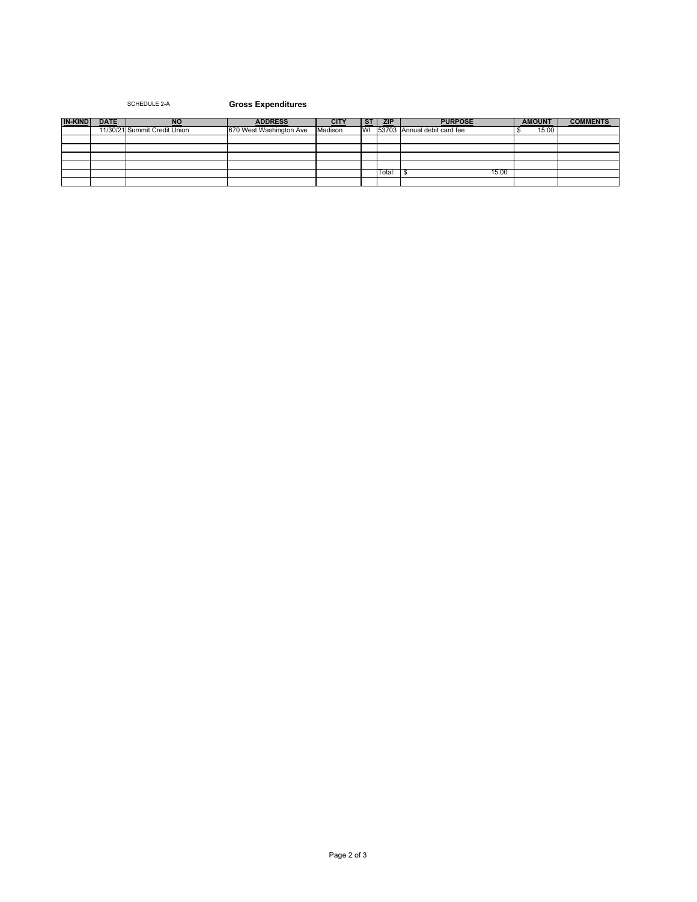## SCHEDULE 2-A **Gross Expenditures**

| <b>IN-KIND</b> | <b>DATE</b> | <b>NC</b>                    | <b>ADDRESS</b>          |         | <b>ST</b> | <b>ZIP</b> | <b>PURPOSE</b>                 | <b>AMOUNT</b> | <b>COMMENTS</b> |
|----------------|-------------|------------------------------|-------------------------|---------|-----------|------------|--------------------------------|---------------|-----------------|
|                |             | 11/30/21 Summit Credit Union | 670 West Washington Ave | Madison |           |            | WI 53703 Annual debit card fee | 15.00         |                 |
|                |             |                              |                         |         |           |            |                                |               |                 |
|                |             |                              |                         |         |           |            |                                |               |                 |
|                |             |                              |                         |         |           |            |                                |               |                 |
|                |             |                              |                         |         |           |            |                                |               |                 |
|                |             |                              |                         |         |           | Total:     | 15.00                          |               |                 |
|                |             |                              |                         |         |           |            |                                |               |                 |